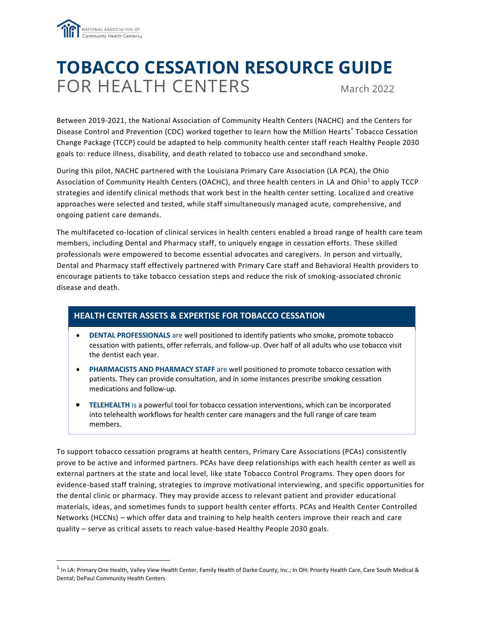

# **TOBACCO CESSATION RESOURCE GUIDE** FOR HEALTH CENTERS March 2022

Between 2019-2021, the National Association of Community Health Centers (NACHC) and the Centers for Disease Control and Prevention (CDC) worked together to learn how the Million Hearts® Tobacco Cessation Change Package (TCCP) could be adapted to help community health center staff reach Healthy People 2030 goals to: reduce illness, disability, and death related to tobacco use and secondhand smoke.

During this pilot, NACHC partnered with the Louisiana Primary Care Association (LA PCA), the Ohio Association of Community Health Centers (OACHC), and three health centers in LA and Ohio<sup>1</sup> to apply TCCP strategies and identify clinical methods that work best in the health center setting. Localize d and creative approaches were selected and tested, while staff simultaneously managed acute, comprehensive, and ongoing patient care demands.

The multifaceted co-location of clinical services in health centers enabled a broad range of health care team members, including Dental and Pharmacy staff, to uniquely engage in cessation efforts. These skilled professionals were empowered to become essential advocates and caregivers. In person and virtually, Dental and Pharmacy staff effectively partnered with Primary Care staff and Behavioral Health providers to encourage patients to take tobacco cessation steps and reduce the risk of smoking-associated chronic disease and death.

### **HEALTH CENTER ASSETS & EXPERTISE FOR TOBACCO CESSATION**

- **DENTAL PROFESSIONALS** are well positioned to identify patients who smoke, promote tobacco cessation with patients, offer referrals, and follow-up. Over half of all adults who use tobacco visit the dentist each year.
- **PHARMACISTS AND PHARMACY STAFF** are well positioned to promote tobacco cessation with patients. They can provide consultation, and in some instances prescribe smoking cessation medications and follow-up.
- **TELEHEALTH** is a powerful tool for tobacco cessation interventions, which can be incorporated into telehealth workflows for health center care managers and the full range of care team members.

To support tobacco cessation programs at health centers, Primary Care Associations (PCAs) consistently prove to be active and informed partners. PCAs have deep relationships with each health center as well as external partners at the state and local level, like state Tobacco Control Programs. They open doors for evidence-based staff training, strategies to improve motivational interviewing, and specific opportunities for the dental clinic or pharmacy. They may provide access to relevant patient and provider educational materials, ideas, and sometimes funds to support health center efforts. PCAs and Health Center Controlled Networks (HCCNs) – which offer data and training to help health centers improve their reach and care quality – serve as critical assets to reach value-based Healthy People 2030 goals.

<sup>&</sup>lt;sup>1</sup> In LA: Primary One Health, Valley View Health Center, Family Health of Darke County, Inc.; In OH: Priority Health Care, Care South Medical & Dental; DePaul Community Health Centers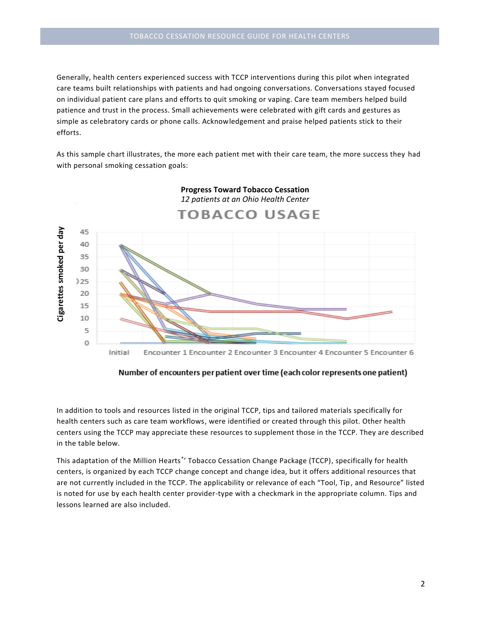Generally, health centers experienced success with TCCP interventions during this pilot when integrated care teams built relationships with patients and had ongoing conversations. Conversations stayed focused on individual patient care plans and efforts to quit smoking or vaping. Care team members helped build patience and trust in the process. Small achievements were celebrated with gift cards and gestures as simple as celebratory cards or phone calls. Acknowledgement and praise helped patients stick to their efforts.

As this sample chart illustrates, the more each patient met with their care team, the more success they had with personal smoking cessation goals:



### **Progress Toward Tobacco Cessation** *12 patients at an Ohio Health Center*

Number of encounters per patient over time (each color represents one patient)

In addition to tools and resources listed in the original TCCP, tips and tailored materials specifically for health centers such as care team workflows, were identified or created through this pilot. Other health centers using the TCCP may appreciate these resources to supplement those in the TCCP. They are described in the table below.

This adaptation of the Million Hearts®' Tobacco Cessation Change Package (TCCP), specifically for health centers, is organized by each TCCP change concept and change idea, but it offers additional resources that are not currently included in the TCCP. The applicability or relevance of each "Tool, Tip , and Resource" listed is noted for use by each health center provider-type with a checkmark in the appropriate column. Tips and lessons learned are also included.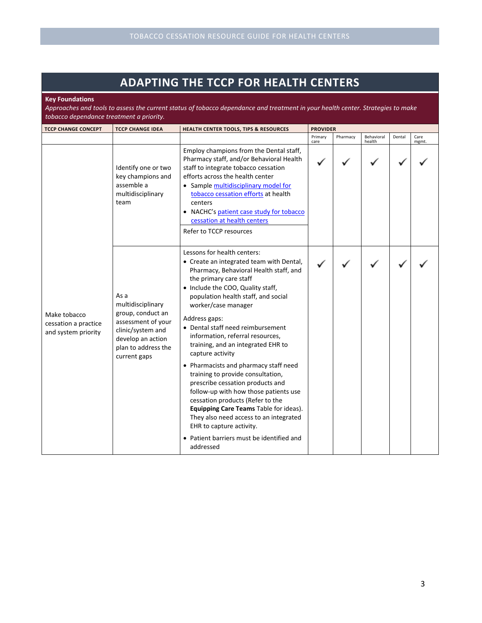## **ADAPTING THE TCCP FOR HEALTH CENTERS**

**Key Foundations**

*Approaches and tools to assess the current status of tobacco dependance and treatment in your health center. Strategies to make tobacco dependance treatment a priority.*

| <b>TCCP CHANGE CONCEPT</b>                                  | <b>TCCP CHANGE IDEA</b>                                                                                                                               | <b>HEALTH CENTER TOOLS, TIPS &amp; RESOURCES</b>                                                                                                                                                                                                                                                                                                                                                                                                                                                                                                                                                                                                                                                                                                                            | <b>PROVIDER</b> |          |                      |        |               |
|-------------------------------------------------------------|-------------------------------------------------------------------------------------------------------------------------------------------------------|-----------------------------------------------------------------------------------------------------------------------------------------------------------------------------------------------------------------------------------------------------------------------------------------------------------------------------------------------------------------------------------------------------------------------------------------------------------------------------------------------------------------------------------------------------------------------------------------------------------------------------------------------------------------------------------------------------------------------------------------------------------------------------|-----------------|----------|----------------------|--------|---------------|
|                                                             |                                                                                                                                                       |                                                                                                                                                                                                                                                                                                                                                                                                                                                                                                                                                                                                                                                                                                                                                                             | Primary<br>care | Pharmacy | Behavioral<br>health | Dental | Care<br>mgmt. |
|                                                             | Identify one or two<br>key champions and<br>assemble a<br>multidisciplinary<br>team                                                                   | Employ champions from the Dental staff,<br>Pharmacy staff, and/or Behavioral Health<br>staff to integrate tobacco cessation<br>efforts across the health center<br>• Sample multidisciplinary model for<br>tobacco cessation efforts at health<br>centers<br>• NACHC's patient case study for tobacco<br>cessation at health centers<br>Refer to TCCP resources                                                                                                                                                                                                                                                                                                                                                                                                             |                 |          |                      |        |               |
| Make tobacco<br>cessation a practice<br>and system priority | As a<br>multidisciplinary<br>group, conduct an<br>assessment of your<br>clinic/system and<br>develop an action<br>plan to address the<br>current gaps | Lessons for health centers:<br>• Create an integrated team with Dental,<br>Pharmacy, Behavioral Health staff, and<br>the primary care staff<br>• Include the COO, Quality staff,<br>population health staff, and social<br>worker/case manager<br>Address gaps:<br>• Dental staff need reimbursement<br>information, referral resources,<br>training, and an integrated EHR to<br>capture activity<br>• Pharmacists and pharmacy staff need<br>training to provide consultation,<br>prescribe cessation products and<br>follow-up with how those patients use<br>cessation products (Refer to the<br>Equipping Care Teams Table for ideas).<br>They also need access to an integrated<br>EHR to capture activity.<br>• Patient barriers must be identified and<br>addressed |                 |          |                      |        |               |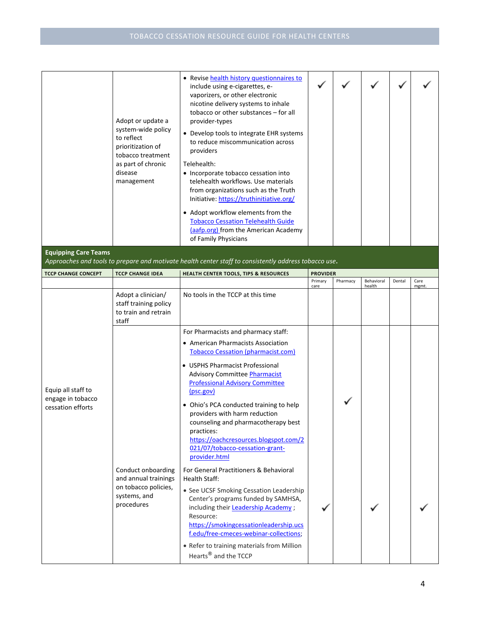|                                                              | Adopt or update a<br>system-wide policy<br>to reflect<br>prioritization of<br>tobacco treatment<br>as part of chronic<br>disease<br>management | • Revise health history questionnaires to<br>include using e-cigarettes, e-<br>vaporizers, or other electronic<br>nicotine delivery systems to inhale<br>tobacco or other substances - for all<br>provider-types<br>• Develop tools to integrate EHR systems<br>to reduce miscommunication across<br>providers<br>Telehealth:<br>• Incorporate tobacco cessation into<br>telehealth workflows. Use materials<br>from organizations such as the Truth<br>Initiative: https://truthinitiative.org/<br>• Adopt workflow elements from the<br><b>Tobacco Cessation Telehealth Guide</b><br>(aafp.org) from the American Academy<br>of Family Physicians                                             |                 |          |                      |        |               |
|--------------------------------------------------------------|------------------------------------------------------------------------------------------------------------------------------------------------|-------------------------------------------------------------------------------------------------------------------------------------------------------------------------------------------------------------------------------------------------------------------------------------------------------------------------------------------------------------------------------------------------------------------------------------------------------------------------------------------------------------------------------------------------------------------------------------------------------------------------------------------------------------------------------------------------|-----------------|----------|----------------------|--------|---------------|
| <b>Equipping Care Teams</b>                                  |                                                                                                                                                | Approaches and tools to prepare and motivate health center staff to consistently address tobacco use.                                                                                                                                                                                                                                                                                                                                                                                                                                                                                                                                                                                           |                 |          |                      |        |               |
| <b>TCCP CHANGE CONCEPT</b>                                   | <b>TCCP CHANGE IDEA</b>                                                                                                                        | HEALTH CENTER TOOLS, TIPS & RESOURCES                                                                                                                                                                                                                                                                                                                                                                                                                                                                                                                                                                                                                                                           | <b>PROVIDER</b> |          |                      |        |               |
|                                                              |                                                                                                                                                |                                                                                                                                                                                                                                                                                                                                                                                                                                                                                                                                                                                                                                                                                                 | Primary<br>care | Pharmacy | Behavioral<br>health | Dental | Care<br>mgmt. |
|                                                              | Adopt a clinician/<br>staff training policy<br>to train and retrain<br>staff                                                                   | No tools in the TCCP at this time                                                                                                                                                                                                                                                                                                                                                                                                                                                                                                                                                                                                                                                               |                 |          |                      |        |               |
| Equip all staff to<br>engage in tobacco<br>cessation efforts | Conduct onboarding<br>and annual trainings<br>on tobacco policies,<br>systems, and<br>procedures                                               | For Pharmacists and pharmacy staff:<br>• American Pharmacists Association<br><b>Tobacco Cessation (pharmacist.com)</b><br>• USPHS Pharmacist Professional<br><b>Advisory Committee Pharmacist</b><br><b>Professional Advisory Committee</b><br>(psc.gov)<br>• Ohio's PCA conducted training to help<br>providers with harm reduction<br>counseling and pharmacotherapy best<br>practices:<br>https://oachcresources.blogspot.com/2<br>021/07/tobacco-cessation-grant-<br>provider.html<br>For General Practitioners & Behavioral<br>Health Staff:<br>• See UCSF Smoking Cessation Leadership<br>Center's programs funded by SAMHSA,<br>including their <b>Leadership Academy</b> ;<br>Resource: |                 |          |                      |        |               |
|                                                              |                                                                                                                                                | https://smokingcessationleadership.ucs<br>f.edu/free-cmeces-webinar-collections;<br>• Refer to training materials from Million<br>Hearts <sup>®</sup> and the TCCP                                                                                                                                                                                                                                                                                                                                                                                                                                                                                                                              |                 |          |                      |        |               |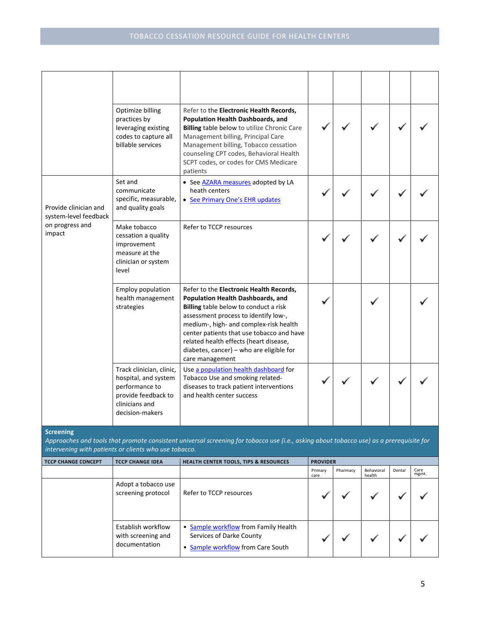|                                                                           | Optimize billing<br>practices by<br>leveraging existing<br>codes to capture all<br>billable services                           | Refer to the <b>Electronic Health Records,</b><br>Population Health Dashboards, and<br><b>Billing table below to utilize Chronic Care</b><br>Management billing, Principal Care<br>Management billing, Tobacco cessation<br>counseling CPT codes, Behavioral Health<br>SCPT codes, or codes for CMS Medicare<br>patients                                      |                 |          |                      |        |               |
|---------------------------------------------------------------------------|--------------------------------------------------------------------------------------------------------------------------------|---------------------------------------------------------------------------------------------------------------------------------------------------------------------------------------------------------------------------------------------------------------------------------------------------------------------------------------------------------------|-----------------|----------|----------------------|--------|---------------|
| Provide clinician and<br>system-level feedback                            | Set and<br>communicate<br>specific, measurable,<br>and quality goals                                                           | • See AZARA measures adopted by LA<br>heath centers<br>• See Primary One's EHR updates                                                                                                                                                                                                                                                                        |                 |          |                      |        |               |
| on progress and<br>impact                                                 | Make tobacco<br>cessation a quality<br>improvement<br>measure at the<br>clinician or system<br>level                           | Refer to TCCP resources                                                                                                                                                                                                                                                                                                                                       |                 |          |                      |        |               |
|                                                                           | <b>Employ population</b><br>health management<br>strategies                                                                    | Refer to the Electronic Health Records,<br>Population Health Dashboards, and<br>Billing table below to conduct a risk<br>assessment process to identify low-,<br>medium-, high- and complex-risk health<br>center patients that use tobacco and have<br>related health effects (heart disease,<br>diabetes, cancer) – who are eligible for<br>care management |                 |          |                      |        |               |
|                                                                           | Track clinician, clinic,<br>hospital, and system<br>performance to<br>provide feedback to<br>clinicians and<br>decision-makers | Use a population health dashboard for<br>Tobacco Use and smoking related-<br>diseases to track patient interventions<br>and health center success                                                                                                                                                                                                             |                 |          |                      |        |               |
| <b>Screening</b><br>intervening with patients or clients who use tobacco. |                                                                                                                                | Approaches and tools that promote consistent universal screening for tobacco use (i.e., asking about tobacco use) as a prerequisite for                                                                                                                                                                                                                       |                 |          |                      |        |               |
| <b>TCCP CHANGE CONCEPT</b>                                                | <b>TCCP CHANGE IDEA</b>                                                                                                        | <b>HEALTH CENTER TOOLS, TIPS &amp; RESOURCES</b>                                                                                                                                                                                                                                                                                                              | <b>PROVIDER</b> |          |                      |        |               |
|                                                                           |                                                                                                                                |                                                                                                                                                                                                                                                                                                                                                               | Primary<br>care | Pharmacy | Behavioral<br>health | Dental | Care<br>mgmt. |
|                                                                           | Adopt a tobacco use<br>screening protocol                                                                                      | Refer to TCCP resources                                                                                                                                                                                                                                                                                                                                       |                 |          |                      |        |               |

| Establish workflow<br>with screening and<br>documentation | • Sample workflow from Family Health<br>Services of Darke County<br>• Sample workflow from Care South |  |  |  |
|-----------------------------------------------------------|-------------------------------------------------------------------------------------------------------|--|--|--|
|                                                           |                                                                                                       |  |  |  |

✓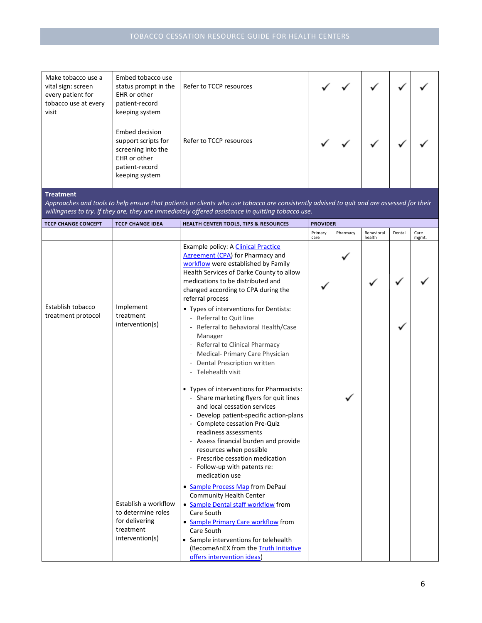| Make tobacco use a<br>vital sign: screen<br>every patient for<br>tobacco use at every<br>visit | Embed tobacco use<br>status prompt in the<br>EHR or other<br>patient-record<br>keeping system                          | Refer to TCCP resources                                                                                                                                                                                                                                                                                                                                                           |                 |          |                      |        |               |
|------------------------------------------------------------------------------------------------|------------------------------------------------------------------------------------------------------------------------|-----------------------------------------------------------------------------------------------------------------------------------------------------------------------------------------------------------------------------------------------------------------------------------------------------------------------------------------------------------------------------------|-----------------|----------|----------------------|--------|---------------|
|                                                                                                | <b>Embed decision</b><br>support scripts for<br>screening into the<br>EHR or other<br>patient-record<br>keeping system | Refer to TCCP resources                                                                                                                                                                                                                                                                                                                                                           |                 |          |                      |        |               |
| <b>Treatment</b>                                                                               |                                                                                                                        | Approaches and tools to help ensure that patients or clients who use tobacco are consistently advised to quit and are assessed for their<br>willingness to try. If they are, they are immediately offered assistance in quitting tobacco use.                                                                                                                                     |                 |          |                      |        |               |
| <b>TCCP CHANGE CONCEPT</b>                                                                     | <b>TCCP CHANGE IDEA</b>                                                                                                | HEALTH CENTER TOOLS, TIPS & RESOURCES                                                                                                                                                                                                                                                                                                                                             | <b>PROVIDER</b> |          |                      |        |               |
|                                                                                                |                                                                                                                        |                                                                                                                                                                                                                                                                                                                                                                                   | Primary<br>care | Pharmacy | Behavioral<br>health | Dental | Care<br>mgmt. |
| Establish tobacco                                                                              | Implement                                                                                                              | Example policy: A Clinical Practice<br><b>Agreement (CPA)</b> for Pharmacy and<br>workflow were established by Family<br>Health Services of Darke County to allow<br>medications to be distributed and<br>changed according to CPA during the<br>referral process<br>• Types of interventions for Dentists:                                                                       |                 |          |                      |        |               |
| treatment protocol                                                                             | treatment<br>intervention(s)                                                                                           | - Referral to Quit line<br>Referral to Behavioral Health/Case<br>Manager<br>- Referral to Clinical Pharmacy<br>Medical- Primary Care Physician<br>Dental Prescription written<br>- Telehealth visit                                                                                                                                                                               |                 |          |                      |        |               |
|                                                                                                |                                                                                                                        | • Types of interventions for Pharmacists:<br>- Share marketing flyers for quit lines<br>and local cessation services<br>- Develop patient-specific action-plans<br>- Complete cessation Pre-Quiz<br>readiness assessments<br>- Assess financial burden and provide<br>resources when possible<br>- Prescribe cessation medication<br>Follow-up with patents re:<br>medication use |                 |          |                      |        |               |
|                                                                                                | Establish a workflow<br>to determine roles<br>for delivering<br>treatment<br>intervention(s)                           | • Sample Process Map from DePaul<br><b>Community Health Center</b><br>• Sample Dental staff workflow from<br>Care South<br>• Sample Primary Care workflow from<br>Care South<br>• Sample interventions for telehealth<br>(BecomeAnEX from the Truth Initiative<br>offers intervention ideas)                                                                                      |                 |          |                      |        |               |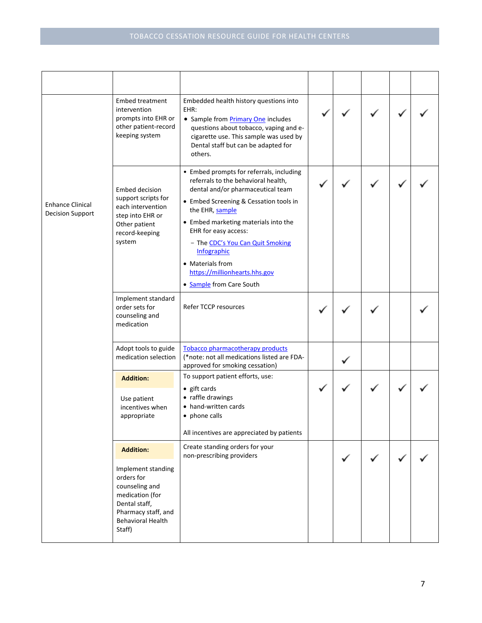|                                                    | Embed treatment<br>intervention<br>prompts into EHR or<br>other patient-record<br>keeping system                                                                        | Embedded health history questions into<br>EHR:<br>• Sample from <b>Primary One</b> includes<br>questions about tobacco, vaping and e-<br>cigarette use. This sample was used by<br>Dental staff but can be adapted for<br>others.                                                                                                                                                     |  |  |  |
|----------------------------------------------------|-------------------------------------------------------------------------------------------------------------------------------------------------------------------------|---------------------------------------------------------------------------------------------------------------------------------------------------------------------------------------------------------------------------------------------------------------------------------------------------------------------------------------------------------------------------------------|--|--|--|
| <b>Enhance Clinical</b><br><b>Decision Support</b> | Embed decision<br>support scripts for<br>each intervention<br>step into EHR or<br>Other patient<br>record-keeping<br>system                                             | • Embed prompts for referrals, including<br>referrals to the behavioral health,<br>dental and/or pharmaceutical team<br>• Embed Screening & Cessation tools in<br>the EHR, sample<br>• Embed marketing materials into the<br>EHR for easy access:<br>- The CDC's You Can Quit Smoking<br>Infographic<br>• Materials from<br>https://millionhearts.hhs.gov<br>• Sample from Care South |  |  |  |
|                                                    | Implement standard<br>order sets for<br>counseling and<br>medication                                                                                                    | Refer TCCP resources                                                                                                                                                                                                                                                                                                                                                                  |  |  |  |
|                                                    | Adopt tools to guide<br>medication selection                                                                                                                            | <b>Tobacco pharmacotherapy products</b><br>(*note: not all medications listed are FDA-<br>approved for smoking cessation)                                                                                                                                                                                                                                                             |  |  |  |
|                                                    | <b>Addition:</b><br>Use patient<br>incentives when<br>appropriate                                                                                                       | To support patient efforts, use:<br>$\bullet$ gift cards<br>• raffle drawings<br>• hand-written cards<br>• phone calls<br>All incentives are appreciated by patients                                                                                                                                                                                                                  |  |  |  |
|                                                    | <b>Addition:</b><br>Implement standing<br>orders for<br>counseling and<br>medication (for<br>Dental staff,<br>Pharmacy staff, and<br><b>Behavioral Health</b><br>Staff) | Create standing orders for your<br>non-prescribing providers                                                                                                                                                                                                                                                                                                                          |  |  |  |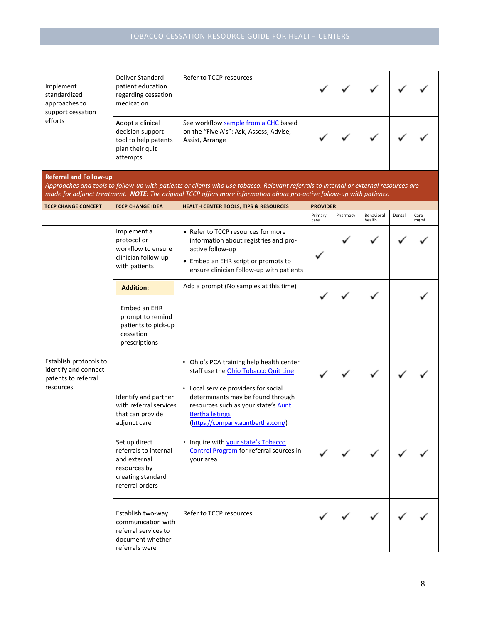| Implement<br>standardized<br>approaches to<br>support cessation<br>efforts                                                                                                                                                                                                                     | Deliver Standard<br>patient education<br>regarding cessation<br>medication                                     | Refer to TCCP resources                                                                                                                 |                 |          |                      |        |               |  |
|------------------------------------------------------------------------------------------------------------------------------------------------------------------------------------------------------------------------------------------------------------------------------------------------|----------------------------------------------------------------------------------------------------------------|-----------------------------------------------------------------------------------------------------------------------------------------|-----------------|----------|----------------------|--------|---------------|--|
|                                                                                                                                                                                                                                                                                                | Adopt a clinical<br>decision support<br>tool to help patents<br>plan their quit<br>attempts                    | See workflow sample from a CHC based<br>on the "Five A's": Ask, Assess, Advise,<br>Assist, Arrange                                      |                 |          |                      |        |               |  |
| <b>Referral and Follow-up</b><br>Approaches and tools to follow-up with patients or clients who use tobacco. Relevant referrals to internal or external resources are<br>made for adjunct treatment. NOTE: The original TCCP offers more information about pro-active follow-up with patients. |                                                                                                                |                                                                                                                                         |                 |          |                      |        |               |  |
| <b>TCCP CHANGE CONCEPT</b>                                                                                                                                                                                                                                                                     | <b>TCCP CHANGE IDEA</b>                                                                                        | HEALTH CENTER TOOLS, TIPS & RESOURCES                                                                                                   | <b>PROVIDER</b> |          |                      |        |               |  |
|                                                                                                                                                                                                                                                                                                |                                                                                                                |                                                                                                                                         | Primary<br>care | Pharmacy | Behavioral<br>health | Dental | Care<br>mgmt. |  |
|                                                                                                                                                                                                                                                                                                | Implement a<br>protocol or<br>workflow to ensure<br>clinician follow-up                                        | • Refer to TCCP resources for more<br>information about registries and pro-<br>active follow-up<br>• Embed an EHR script or prompts to  |                 |          |                      |        |               |  |
|                                                                                                                                                                                                                                                                                                | with patients                                                                                                  | ensure clinician follow-up with patients                                                                                                |                 |          |                      |        |               |  |
|                                                                                                                                                                                                                                                                                                | <b>Addition:</b>                                                                                               | Add a prompt (No samples at this time)                                                                                                  |                 |          |                      |        |               |  |
|                                                                                                                                                                                                                                                                                                | Embed an EHR<br>prompt to remind<br>patients to pick-up<br>cessation<br>prescriptions                          |                                                                                                                                         |                 |          |                      |        |               |  |
| Establish protocols to<br>identify and connect<br>patents to referral                                                                                                                                                                                                                          |                                                                                                                | • Ohio's PCA training help health center<br>staff use the Ohio Tobacco Quit Line<br>• Local service providers for social                |                 |          |                      |        |               |  |
| resources                                                                                                                                                                                                                                                                                      | Identify and partner<br>with referral services<br>that can provide<br>adjunct care                             | determinants may be found through<br>resources such as your state's Aunt<br><b>Bertha listings</b><br>(https://company.auntbertha.com/) |                 |          |                      |        |               |  |
|                                                                                                                                                                                                                                                                                                | Set up direct<br>referrals to internal<br>and external<br>resources by<br>creating standard<br>referral orders | • Inquire with your state's Tobacco<br><b>Control Program</b> for referral sources in<br>your area                                      |                 |          |                      |        |               |  |
|                                                                                                                                                                                                                                                                                                | Establish two-way<br>communication with<br>referral services to<br>document whether<br>referrals were          | Refer to TCCP resources                                                                                                                 |                 |          |                      |        |               |  |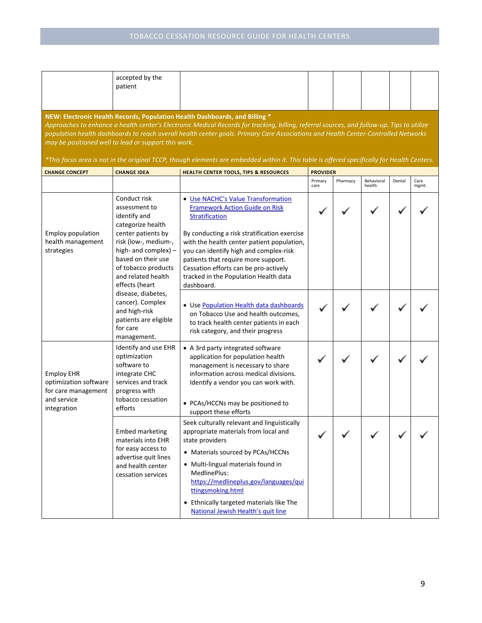|                                                                                                     | accepted by the<br>patient                                                                                                            |                                                                                                                                                                                                                                                                                                                                                                                                                                                                                                                 |                 |          |                      |        |               |
|-----------------------------------------------------------------------------------------------------|---------------------------------------------------------------------------------------------------------------------------------------|-----------------------------------------------------------------------------------------------------------------------------------------------------------------------------------------------------------------------------------------------------------------------------------------------------------------------------------------------------------------------------------------------------------------------------------------------------------------------------------------------------------------|-----------------|----------|----------------------|--------|---------------|
|                                                                                                     | may be positioned well to lead or support this work.                                                                                  | NEW: Electronic Health Records, Population Health Dashboards, and Billing *<br>Approaches to enhance a health center's Electronic Medical Records for tracking, billing, referral sources, and follow-up. Tips to utilize<br>population health dashboards to reach overall health center goals. Primary Care Associations and Health Center-Controlled Networks<br>*This focus area is not in the original TCCP, though elements are embedded within it. This table is offered specifically for Health Centers. |                 |          |                      |        |               |
| <b>CHANGE CONCEPT</b>                                                                               | <b>CHANGE IDEA</b>                                                                                                                    | <b>HEALTH CENTER TOOLS, TIPS &amp; RESOURCES</b>                                                                                                                                                                                                                                                                                                                                                                                                                                                                | <b>PROVIDER</b> |          |                      |        |               |
|                                                                                                     |                                                                                                                                       |                                                                                                                                                                                                                                                                                                                                                                                                                                                                                                                 | Primary<br>care | Pharmacy | Behavioral<br>health | Dental | Care<br>mgmt. |
|                                                                                                     | Conduct risk<br>assessment to<br>identify and<br>categorize health                                                                    | • Use NACHC's Value Transformation<br><b>Framework Action Guide on Risk</b><br><b>Stratification</b>                                                                                                                                                                                                                                                                                                                                                                                                            |                 |          |                      |        |               |
| center patients by<br><b>Employ population</b><br>health management<br>strategies<br>effects (heart | risk (low-, medium-,<br>high- and complex) $-$<br>based on their use<br>of tobacco products<br>and related health                     | By conducting a risk stratification exercise<br>with the health center patient population,<br>you can identify high and complex-risk<br>patients that require more support.<br>Cessation efforts can be pro-actively<br>tracked in the Population Health data<br>dashboard.                                                                                                                                                                                                                                     |                 |          |                      |        |               |
|                                                                                                     | disease, diabetes,<br>cancer). Complex<br>and high-risk<br>patients are eligible<br>for care<br>management.                           | • Use Population Health data dashboards<br>on Tobacco Use and health outcomes,<br>to track health center patients in each<br>risk category, and their progress                                                                                                                                                                                                                                                                                                                                                  |                 |          |                      |        |               |
| <b>Employ EHR</b><br>optimization software<br>for care management                                   | Identify and use EHR<br>optimization<br>software to<br>integrate CHC<br>services and track<br>progress with                           | • A 3rd party integrated software<br>application for population health<br>management is necessary to share<br>information across medical divisions.<br>Identify a vendor you can work with.                                                                                                                                                                                                                                                                                                                     |                 |          |                      |        |               |
| and service<br>integration                                                                          | tobacco cessation<br>efforts                                                                                                          | • PCAs/HCCNs may be positioned to<br>support these efforts                                                                                                                                                                                                                                                                                                                                                                                                                                                      |                 |          |                      |        |               |
|                                                                                                     | <b>Embed marketing</b><br>materials into EHR<br>for easy access to<br>advertise quit lines<br>and health center<br>cessation services | Seek culturally relevant and linguistically<br>appropriate materials from local and<br>state providers<br>• Materials sourced by PCAs/HCCNs<br>• Multi-lingual materials found in<br>MedlinePlus:<br>https://medlineplus.gov/languages/qui<br>ttingsmoking.html<br>• Ethnically targeted materials like The<br>National Jewish Health's quit line                                                                                                                                                               |                 |          |                      |        |               |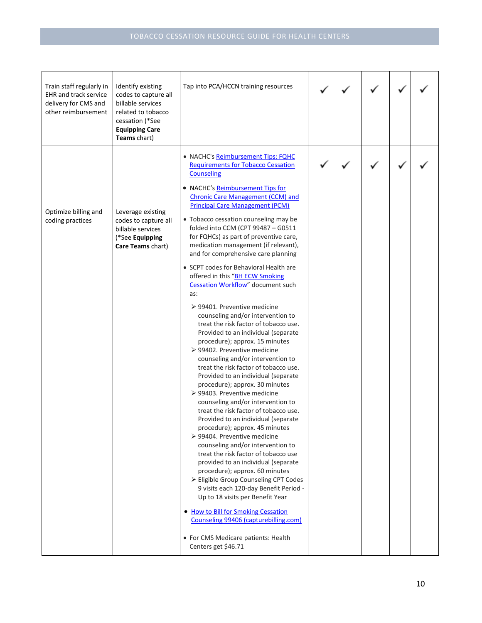| Train staff regularly in<br><b>EHR</b> and track service<br>delivery for CMS and<br>other reimbursement | Identify existing<br>codes to capture all<br>billable services<br>related to tobacco<br>cessation (*See<br><b>Equipping Care</b><br>Teams chart) | Tap into PCA/HCCN training resources                                                                                                                                                                                                                                                                                                                                                                                                                                                                                                                                                                                                                                                                                                                                                                                                                                                                                                                                                                                                                                                                                                                                                                                                                                                                                                                                                                                                                                                                                                                                                                 |  |  |  |
|---------------------------------------------------------------------------------------------------------|--------------------------------------------------------------------------------------------------------------------------------------------------|------------------------------------------------------------------------------------------------------------------------------------------------------------------------------------------------------------------------------------------------------------------------------------------------------------------------------------------------------------------------------------------------------------------------------------------------------------------------------------------------------------------------------------------------------------------------------------------------------------------------------------------------------------------------------------------------------------------------------------------------------------------------------------------------------------------------------------------------------------------------------------------------------------------------------------------------------------------------------------------------------------------------------------------------------------------------------------------------------------------------------------------------------------------------------------------------------------------------------------------------------------------------------------------------------------------------------------------------------------------------------------------------------------------------------------------------------------------------------------------------------------------------------------------------------------------------------------------------------|--|--|--|
| Optimize billing and<br>coding practices                                                                | Leverage existing<br>codes to capture all<br>billable services<br>(*See Equipping<br>Care Teams chart)                                           | • NACHC's Reimbursement Tips: FQHC<br><b>Requirements for Tobacco Cessation</b><br><b>Counseling</b><br>• NACHC's Reimbursement Tips for<br><b>Chronic Care Management (CCM) and</b><br><b>Principal Care Management (PCM)</b><br>• Tobacco cessation counseling may be<br>folded into CCM (CPT 99487 - G0511<br>for FQHCs) as part of preventive care,<br>medication management (if relevant),<br>and for comprehensive care planning<br>• SCPT codes for Behavioral Health are<br>offered in this "BH ECW Smoking<br>Cessation Workflow" document such<br>as:<br>$\geq$ 99401. Preventive medicine<br>counseling and/or intervention to<br>treat the risk factor of tobacco use.<br>Provided to an individual (separate<br>procedure); approx. 15 minutes<br>▶ 99402. Preventive medicine<br>counseling and/or intervention to<br>treat the risk factor of tobacco use.<br>Provided to an individual (separate<br>procedure); approx. 30 minutes<br>▶ 99403. Preventive medicine<br>counseling and/or intervention to<br>treat the risk factor of tobacco use.<br>Provided to an individual (separate<br>procedure); approx. 45 minutes<br>▶ 99404. Preventive medicine<br>counseling and/or intervention to<br>treat the risk factor of tobacco use<br>provided to an individual (separate<br>procedure); approx. 60 minutes<br>> Eligible Group Counseling CPT Codes<br>9 visits each 120-day Benefit Period -<br>Up to 18 visits per Benefit Year<br>• How to Bill for Smoking Cessation<br>Counseling 99406 (capturebilling.com)<br>• For CMS Medicare patients: Health<br>Centers get \$46.71 |  |  |  |